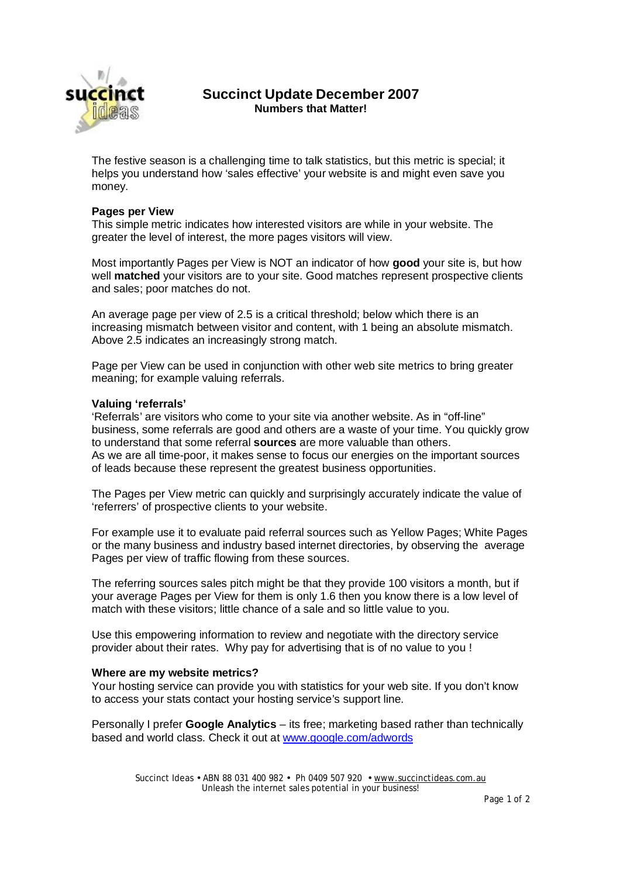

## **Succinct Update December 2007 Numbers that Matter!**

The festive season is a challenging time to talk statistics, but this metric is special; it helps you understand how 'sales effective' your website is and might even save you money.

#### **Pages per View**

This simple metric indicates how interested visitors are while in your website. The greater the level of interest, the more pages visitors will view.

Most importantly Pages per View is NOT an indicator of how **good** your site is, but how well **matched** your visitors are to your site. Good matches represent prospective clients and sales; poor matches do not.

An average page per view of 2.5 is a critical threshold; below which there is an increasing mismatch between visitor and content, with 1 being an absolute mismatch. Above 2.5 indicates an increasingly strong match.

Page per View can be used in conjunction with other web site metrics to bring greater meaning; for example valuing referrals.

#### **Valuing 'referrals'**

'Referrals' are visitors who come to your site via another website. As in "off-line" business, some referrals are good and others are a waste of your time. You quickly grow to understand that some referral **sources** are more valuable than others. As we are all time-poor, it makes sense to focus our energies on the important sources of leads because these represent the greatest business opportunities.

The Pages per View metric can quickly and surprisingly accurately indicate the value of 'referrers' of prospective clients to your website.

For example use it to evaluate paid referral sources such as Yellow Pages; White Pages or the many business and industry based internet directories, by observing the average Pages per view of traffic flowing from these sources.

The referring sources sales pitch might be that they provide 100 visitors a month, but if your average Pages per View for them is only 1.6 then you know there is a low level of match with these visitors; little chance of a sale and so little value to you.

Use this empowering information to review and negotiate with the directory service provider about their rates. Why pay for advertising that is of no value to you !

### **Where are my website metrics?**

Your hosting service can provide you with statistics for your web site. If you don't know to access your stats contact your hosting service's support line.

Personally I prefer **Google Analytics** – its free; marketing based rather than technically based and world class. Check it out at [www.google.com/adwords](http://www.google.com/adwords)

> Succinct Ideas • ABN 88 031 400 982 • Ph 0409 507 920 • [www.succinctideas.com.au](http://www.succinctideas.com.au) Unleash the internet sales potential in your business!